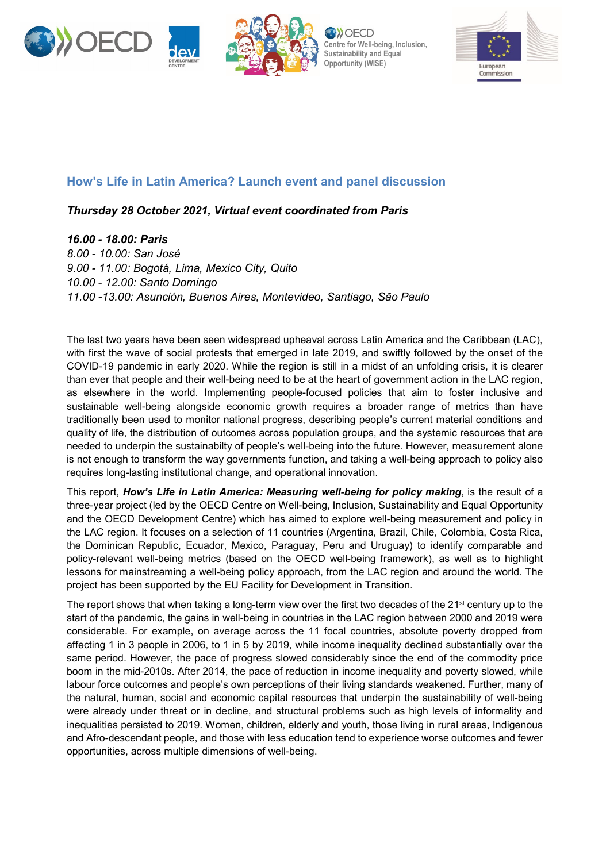



**Centre for Well-being, Inclusion, Sustainability and Equal Opportunity (WISE)**



## **How's Life in Latin America? Launch event and panel discussion**

## *Thursday 28 October 2021, Virtual event coordinated from Paris*

*16.00 - 18.00: Paris*

*8.00 - 10.00: San José 9.00 - 11.00: Bogotá, Lima, Mexico City, Quito 10.00 - 12.00: Santo Domingo 11.00 -13.00: Asunción, Buenos Aires, Montevideo, Santiago, São Paulo*

The last two years have been seen widespread upheaval across Latin America and the Caribbean (LAC), with first the wave of social protests that emerged in late 2019, and swiftly followed by the onset of the COVID-19 pandemic in early 2020. While the region is still in a midst of an unfolding crisis, it is clearer than ever that people and their well-being need to be at the heart of government action in the LAC region, as elsewhere in the world. Implementing people-focused policies that aim to foster inclusive and sustainable well-being alongside economic growth requires a broader range of metrics than have traditionally been used to monitor national progress, describing people's current material conditions and quality of life, the distribution of outcomes across population groups, and the systemic resources that are needed to underpin the sustainabilty of people's well-being into the future. However, measurement alone is not enough to transform the way governments function, and taking a well-being approach to policy also requires long-lasting institutional change, and operational innovation.

This report, *How's Life in Latin America: Measuring well-being for policy making*, is the result of a three-year project (led by the OECD Centre on Well-being, Inclusion, Sustainability and Equal Opportunity and the OECD Development Centre) which has aimed to explore well-being measurement and policy in the LAC region. It focuses on a selection of 11 countries (Argentina, Brazil, Chile, Colombia, Costa Rica, the Dominican Republic, Ecuador, Mexico, Paraguay, Peru and Uruguay) to identify comparable and policy-relevant well-being metrics (based on the OECD well-being framework), as well as to highlight lessons for mainstreaming a well-being policy approach, from the LAC region and around the world. The project has been supported by the EU Facility for Development in Transition.

The report shows that when taking a long-term view over the first two decades of the 21<sup>st</sup> century up to the start of the pandemic, the gains in well-being in countries in the LAC region between 2000 and 2019 were considerable. For example, on average across the 11 focal countries, absolute poverty dropped from affecting 1 in 3 people in 2006, to 1 in 5 by 2019, while income inequality declined substantially over the same period. However, the pace of progress slowed considerably since the end of the commodity price boom in the mid-2010s. After 2014, the pace of reduction in income inequality and poverty slowed, while labour force outcomes and people's own perceptions of their living standards weakened. Further, many of the natural, human, social and economic capital resources that underpin the sustainability of well-being were already under threat or in decline, and structural problems such as high levels of informality and inequalities persisted to 2019. Women, children, elderly and youth, those living in rural areas, Indigenous and Afro-descendant people, and those with less education tend to experience worse outcomes and fewer opportunities, across multiple dimensions of well-being.